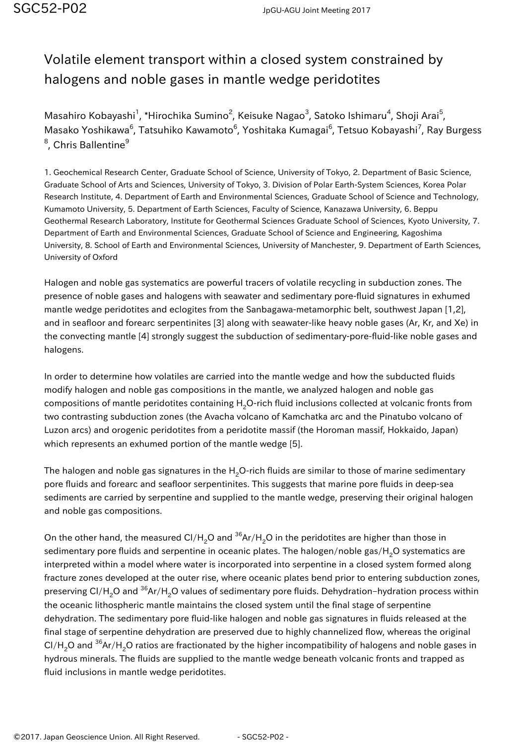## Volatile element transport within a closed system constrained by halogens and noble gases in mantle wedge peridotites

Masahiro Kobayashi<sup>1</sup>, \*Hirochika Sumino<sup>2</sup>, Keisuke Nagao<sup>3</sup>, Satoko Ishimaru<sup>4</sup>, Shoji Arai<sup>5</sup>, Masako Yoshikawa<sup>6</sup>, Tatsuhiko Kawamoto<sup>6</sup>, Yoshitaka Kumagai<sup>6</sup>, Tetsuo Kobayashi<sup>7</sup>, Ray Burgess  $^8$ , Chris Ballentine $^9$ 

1. Geochemical Research Center, Graduate School of Science, University of Tokyo, 2. Department of Basic Science, Graduate School of Arts and Sciences, University of Tokyo, 3. Division of Polar Earth-System Sciences, Korea Polar Research Institute, 4. Department of Earth and Environmental Sciences, Graduate School of Science and Technology, Kumamoto University, 5. Department of Earth Sciences, Faculty of Science, Kanazawa University, 6. Beppu Geothermal Research Laboratory, Institute for Geothermal Sciences Graduate School of Sciences, Kyoto University, 7. Department of Earth and Environmental Sciences, Graduate School of Science and Engineering, Kagoshima University, 8. School of Earth and Environmental Sciences, University of Manchester, 9. Department of Earth Sciences, University of Oxford

Halogen and noble gas systematics are powerful tracers of volatile recycling in subduction zones. The presence of noble gases and halogens with seawater and sedimentary pore-fluid signatures in exhumed mantle wedge peridotites and eclogites from the Sanbagawa-metamorphic belt, southwest Japan [1,2], and in seafloor and forearc serpentinites [3] along with seawater-like heavy noble gases (Ar, Kr, and Xe) in the convecting mantle [4] strongly suggest the subduction of sedimentary-pore-fluid-like noble gases and halogens.

In order to determine how volatiles are carried into the mantle wedge and how the subducted fluids modify halogen and noble gas compositions in the mantle, we analyzed halogen and noble gas compositions of mantle peridotites containing H<sub>2</sub>O-rich fluid inclusions collected at volcanic fronts from two contrasting subduction zones (the Avacha volcano of Kamchatka arc and the Pinatubo volcano of Luzon arcs) and orogenic peridotites from a peridotite massif (the Horoman massif, Hokkaido, Japan) which represents an exhumed portion of the mantle wedge [5].

The halogen and noble gas signatures in the  $H<sub>2</sub>O$ -rich fluids are similar to those of marine sedimentary pore fluids and forearc and seafloor serpentinites. This suggests that marine pore fluids in deep-sea sediments are carried by serpentine and supplied to the mantle wedge, preserving their original halogen and noble gas compositions.

On the other hand, the measured Cl/H<sub>2</sub>O and <sup>36</sup>Ar/H<sub>2</sub>O in the peridotites are higher than those in sedimentary pore fluids and serpentine in oceanic plates. The halogen/noble gas/H<sub>2</sub>O systematics are interpreted within a model where water is incorporated into serpentine in a closed system formed along fracture zones developed at the outer rise, where oceanic plates bend prior to entering subduction zones, preserving Cl/H<sub>2</sub>O and <sup>36</sup>Ar/H<sub>2</sub>O values of sedimentary pore fluids. Dehydration-hydration process within the oceanic lithospheric mantle maintains the closed system until the final stage of serpentine dehydration. The sedimentary pore fluid-like halogen and noble gas signatures in fluids released at the final stage of serpentine dehydration are preserved due to highly channelized flow, whereas the original  $Cl/H<sub>2</sub>O$  and <sup>36</sup>Ar/H<sub>2</sub>O ratios are fractionated by the higher incompatibility of halogens and noble gases in hydrous minerals. The fluids are supplied to the mantle wedge beneath volcanic fronts and trapped as fluid inclusions in mantle wedge peridotites.